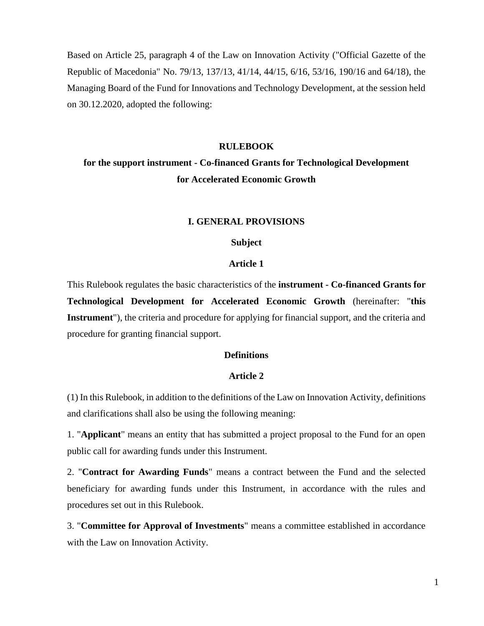Based on Article 25, paragraph 4 of the Law on Innovation Activity ("Official Gazette of the Republic of Macedonia" No. 79/13, 137/13, 41/14, 44/15, 6/16, 53/16, 190/16 and 64/18), the Managing Board of the Fund for Innovations and Technology Development, at the session held on 30.12.2020, adopted the following:

#### **RULEBOOK**

# **for the support instrument - Co-financed Grants for Technological Development for Accelerated Economic Growth**

#### **I. GENERAL PROVISIONS**

#### **Subject**

#### **Article 1**

This Rulebook regulates the basic characteristics of the **instrument - Co-financed Grants for Technological Development for Accelerated Economic Growth** (hereinafter: "**this Instrument**"), the criteria and procedure for applying for financial support, and the criteria and procedure for granting financial support.

#### **Definitions**

#### **Article 2**

(1) In this Rulebook, in addition to the definitions of the Law on Innovation Activity, definitions and clarifications shall also be using the following meaning:

1. "**Applicant**" means an entity that has submitted a project proposal to the Fund for an open public call for awarding funds under this Instrument.

2. "**Contract for Awarding Funds**" means a contract between the Fund and the selected beneficiary for awarding funds under this Instrument, in accordance with the rules and procedures set out in this Rulebook.

3. "**Committee for Approval of Investments**" means a committee established in accordance with the Law on Innovation Activity.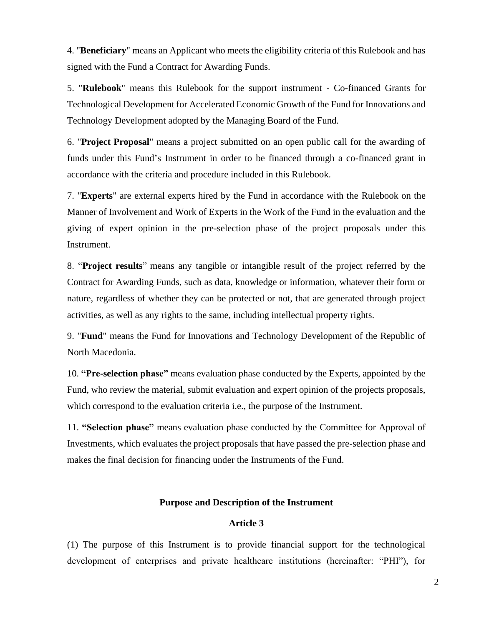4. "**Beneficiary**" means an Applicant who meets the eligibility criteria of this Rulebook and has signed with the Fund a Contract for Awarding Funds.

5. "**Rulebook**" means this Rulebook for the support instrument - Co-financed Grants for Technological Development for Accelerated Economic Growth of the Fund for Innovations and Technology Development adopted by the Managing Board of the Fund.

6. "**Project Proposal**" means a project submitted on an open public call for the awarding of funds under this Fund's Instrument in order to be financed through a co-financed grant in accordance with the criteria and procedure included in this Rulebook.

7. "**Experts**" are external experts hired by the Fund in accordance with the Rulebook on the Manner of Involvement and Work of Experts in the Work of the Fund in the evaluation and the giving of expert opinion in the pre-selection phase of the project proposals under this Instrument.

8. "**Project results**" means any tangible or intangible result of the project referred by the Contract for Awarding Funds, such as data, knowledge or information, whatever their form or nature, regardless of whether they can be protected or not, that are generated through project activities, as well as any rights to the same, including intellectual property rights.

9. "**Fund**" means the Fund for Innovations and Technology Development of the Republic of North Macedonia.

10. **"Pre-selection phase"** means evaluation phase conducted by the Experts, appointed by the Fund, who review the material, submit evaluation and expert opinion of the projects proposals, which correspond to the evaluation criteria *i.e.*, the purpose of the Instrument.

11. **"Selection phase"** means evaluation phase conducted by the Committee for Approval of Investments, which evaluates the project proposals that have passed the pre-selection phase and makes the final decision for financing under the Instruments of the Fund.

### **Purpose and Description of the Instrument**

# **Article 3**

(1) The purpose of this Instrument is to provide financial support for the technological development of enterprises and private healthcare institutions (hereinafter: "PHI"), for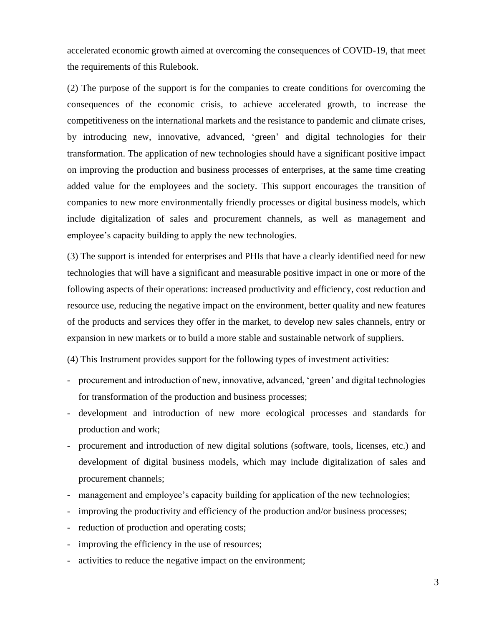accelerated economic growth aimed at overcoming the consequences of COVID-19, that meet the requirements of this Rulebook.

(2) The purpose of the support is for the companies to create conditions for overcoming the consequences of the economic crisis, to achieve accelerated growth, to increase the competitiveness on the international markets and the resistance to pandemic and climate crises, by introducing new, innovative, advanced, 'green' and digital technologies for their transformation. The application of new technologies should have a significant positive impact on improving the production and business processes of enterprises, at the same time creating added value for the employees and the society. This support encourages the transition of companies to new more environmentally friendly processes or digital business models, which include digitalization of sales and procurement channels, as well as management and employee's capacity building to apply the new technologies.

(3) The support is intended for enterprises and PHIs that have a clearly identified need for new technologies that will have a significant and measurable positive impact in one or more of the following aspects of their operations: increased productivity and efficiency, cost reduction and resource use, reducing the negative impact on the environment, better quality and new features of the products and services they offer in the market, to develop new sales channels, entry or expansion in new markets or to build a more stable and sustainable network of suppliers.

(4) This Instrument provides support for the following types of investment activities:

- procurement and introduction of new, innovative, advanced, 'green' and digital technologies for transformation of the production and business processes;
- development and introduction of new more ecological processes and standards for production and work;
- procurement and introduction of new digital solutions (software, tools, licenses, etc.) and development of digital business models, which may include digitalization of sales and procurement channels;
- management and employee's capacity building for application of the new technologies;
- improving the productivity and efficiency of the production and/or business processes;
- reduction of production and operating costs;
- improving the efficiency in the use of resources;
- activities to reduce the negative impact on the environment;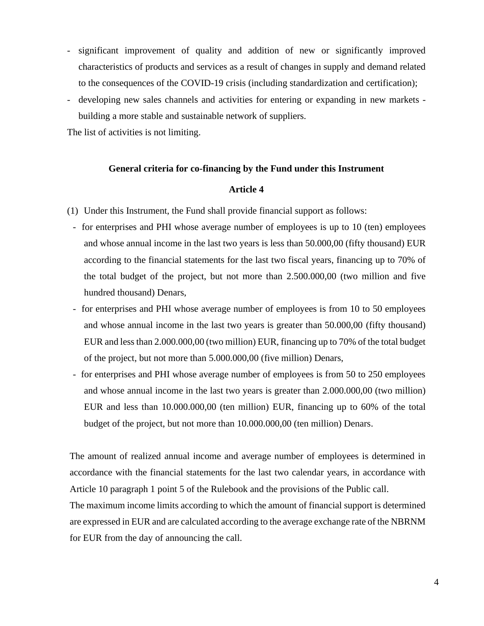- significant improvement of quality and addition of new or significantly improved characteristics of products and services as a result of changes in supply and demand related to the consequences of the COVID-19 crisis (including standardization and certification);
- developing new sales channels and activities for entering or expanding in new markets building a more stable and sustainable network of suppliers.

The list of activities is not limiting.

#### **General criteria for co-financing by the Fund under this Instrument**

#### **Article 4**

- (1) Under this Instrument, the Fund shall provide financial support as follows:
	- for enterprises and PHI whose average number of employees is up to 10 (ten) employees and whose annual income in the last two years is less than 50.000,00 (fifty thousand) EUR according to the financial statements for the last two fiscal years, financing up to 70% of the total budget of the project, but not more than 2.500.000,00 (two million and five hundred thousand) Denars,
	- for enterprises and PHI whose average number of employees is from 10 to 50 employees and whose annual income in the last two years is greater than 50.000,00 (fifty thousand) EUR and less than 2.000.000,00 (two million) EUR, financing up to 70% of the total budget of the project, but not more than 5.000.000,00 (five million) Denars,
	- for enterprises and PHI whose average number of employees is from 50 to 250 employees and whose annual income in the last two years is greater than 2.000.000,00 (two million) EUR and less than 10.000.000,00 (ten million) EUR, financing up to 60% of the total budget of the project, but not more than 10.000.000,00 (ten million) Denars.

The amount of realized annual income and average number of employees is determined in accordance with the financial statements for the last two calendar years, in accordance with Article 10 paragraph 1 point 5 of the Rulebook and the provisions of the Public call.

The maximum income limits according to which the amount of financial support is determined are expressed in EUR and are calculated according to the average exchange rate of the NBRNM for EUR from the day of announcing the call.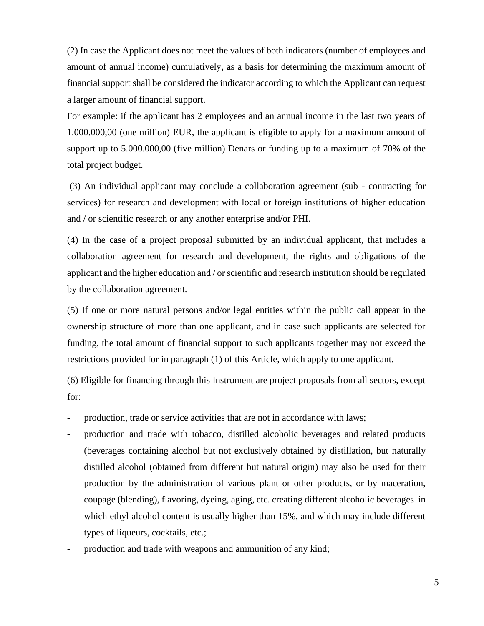(2) In case the Applicant does not meet the values of both indicators (number of employees and amount of annual income) cumulatively, as a basis for determining the maximum amount of financial support shall be considered the indicator according to which the Applicant can request a larger amount of financial support.

For example: if the applicant has 2 employees and an annual income in the last two years of 1.000.000,00 (one million) EUR, the applicant is eligible to apply for a maximum amount of support up to 5.000.000,00 (five million) Denars or funding up to a maximum of 70% of the total project budget.

(3) An individual applicant may conclude a collaboration agreement (sub - contracting for services) for research and development with local or foreign institutions of higher education and / or scientific research or any another enterprise and/or PHI.

(4) In the case of a project proposal submitted by an individual applicant, that includes a collaboration agreement for research and development, the rights and obligations of the applicant and the higher education and / or scientific and research institution should be regulated by the collaboration agreement.

(5) If one or more natural persons and/or legal entities within the public call appear in the ownership structure of more than one applicant, and in case such applicants are selected for funding, the total amount of financial support to such applicants together may not exceed the restrictions provided for in paragraph (1) of this Article, which apply to one applicant.

(6) Eligible for financing through this Instrument are project proposals from all sectors, except for:

- production, trade or service activities that are not in accordance with laws;
- production and trade with tobacco, distilled alcoholic beverages and related products (beverages containing alcohol but not exclusively obtained by distillation, but naturally distilled alcohol (obtained from different but natural origin) may also be used for their production by the administration of various plant or other products, or by maceration, coupage (blending), flavoring, dyeing, aging, etc. creating different alcoholic beverages in which ethyl alcohol content is usually higher than 15%, and which may include different types of liqueurs, cocktails, etc.;
- production and trade with weapons and ammunition of any kind;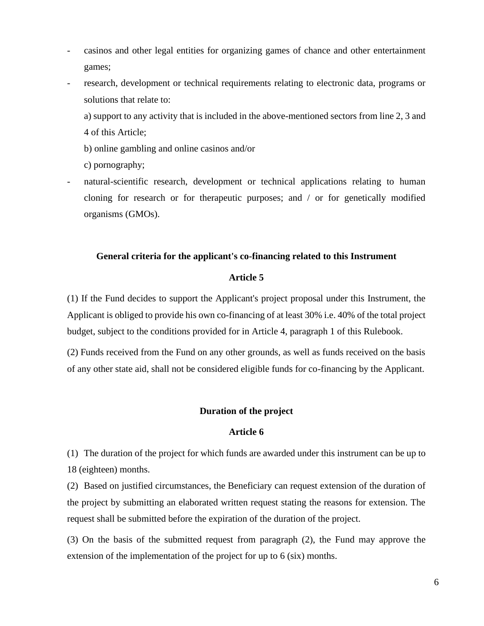- casinos and other legal entities for organizing games of chance and other entertainment games;
- research, development or technical requirements relating to electronic data, programs or solutions that relate to:
	- a) support to any activity that is included in the above-mentioned sectors from line 2, 3 and 4 of this Article;
	- b) online gambling and online casinos and/or

c) pornography;

natural-scientific research, development or technical applications relating to human cloning for research or for therapeutic purposes; and / or for genetically modified organisms (GMOs).

#### **General criteria for the applicant's co-financing related to this Instrument**

#### **Article 5**

(1) If the Fund decides to support the Applicant's project proposal under this Instrument, the Applicant is obliged to provide his own co-financing of at least 30% i.e. 40% of the total project budget, subject to the conditions provided for in Article 4, paragraph 1 of this Rulebook.

(2) Funds received from the Fund on any other grounds, as well as funds received on the basis of any other state aid, shall not be considered eligible funds for co-financing by the Applicant.

#### **Duration of the project**

#### **Article 6**

(1) The duration of the project for which funds are awarded under this instrument can be up to 18 (eighteen) months.

(2) Based on justified circumstances, the Beneficiary can request extension of the duration of the project by submitting an elaborated written request stating the reasons for extension. The request shall be submitted before the expiration of the duration of the project.

(3) On the basis of the submitted request from paragraph (2), the Fund may approve the extension of the implementation of the project for up to 6 (six) months.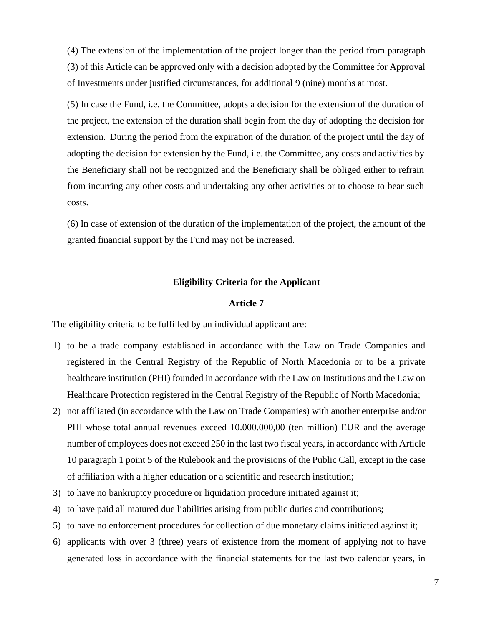(4) The extension of the implementation of the project longer than the period from paragraph (3) of this Article can be approved only with a decision adopted by the Committee for Approval of Investments under justified circumstances, for additional 9 (nine) months at most.

(5) In case the Fund, i.e. the Committee, adopts a decision for the extension of the duration of the project, the extension of the duration shall begin from the day of adopting the decision for extension. During the period from the expiration of the duration of the project until the day of adopting the decision for extension by the Fund, i.e. the Committee, any costs and activities by the Beneficiary shall not be recognized and the Beneficiary shall be obliged either to refrain from incurring any other costs and undertaking any other activities or to choose to bear such costs.

(6) In case of extension of the duration of the implementation of the project, the amount of the granted financial support by the Fund may not be increased.

# **Eligibility Criteria for the Applicant**

#### **Article 7**

The eligibility criteria to be fulfilled by an individual applicant are:

- 1) to be a trade company established in accordance with the Law on Trade Companies and registered in the Central Registry of the Republic of North Macedonia or to be a private healthcare institution (PHI) founded in accordance with the Law on Institutions and the Law on Healthcare Protection registered in the Central Registry of the Republic of North Macedonia;
- 2) not affiliated (in accordance with the Law on Trade Companies) with another enterprise and/or PHI whose total annual revenues exceed 10.000.000,00 (ten million) EUR and the average number of employees does not exceed 250 in the last two fiscal years, in accordance with Article 10 paragraph 1 point 5 of the Rulebook and the provisions of the Public Call, except in the case of affiliation with a higher education or a scientific and research institution;
- 3) to have no bankruptcy procedure or liquidation procedure initiated against it;
- 4) to have paid all matured due liabilities arising from public duties and contributions;
- 5) to have no enforcement procedures for collection of due monetary claims initiated against it;
- 6) applicants with over 3 (three) years of existence from the moment of applying not to have generated loss in accordance with the financial statements for the last two calendar years, in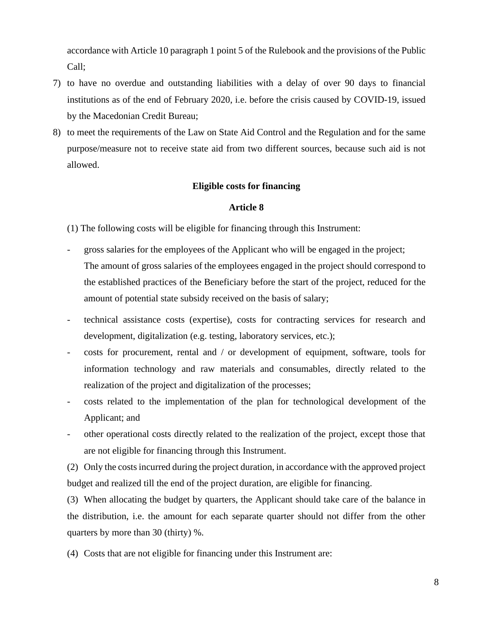accordance with Article 10 paragraph 1 point 5 of the Rulebook and the provisions of the Public Call;

- 7) to have no overdue and outstanding liabilities with a delay of over 90 days to financial institutions as of the end of February 2020, i.e. before the crisis caused by COVID-19, issued by the Macedonian Credit Bureau;
- 8) to meet the requirements of the Law on State Aid Control and the Regulation and for the same purpose/measure not to receive state aid from two different sources, because such aid is not allowed.

#### **Eligible costs for financing**

#### **Article 8**

(1) The following costs will be eligible for financing through this Instrument:

- gross salaries for the employees of the Applicant who will be engaged in the project; The amount of gross salaries of the employees engaged in the project should correspond to the established practices of the Beneficiary before the start of the project, reduced for the amount of potential state subsidy received on the basis of salary;
- technical assistance costs (expertise), costs for contracting services for research and development, digitalization (e.g. testing, laboratory services, etc.);
- costs for procurement, rental and / or development of equipment, software, tools for information technology and raw materials and consumables, directly related to the realization of the project and digitalization of the processes;
- costs related to the implementation of the plan for technological development of the Applicant; and
- other operational costs directly related to the realization of the project, except those that are not eligible for financing through this Instrument.

(2) Only the costs incurred during the project duration, in accordance with the approved project budget and realized till the end of the project duration, are eligible for financing.

(3) When allocating the budget by quarters, the Applicant should take care of the balance in the distribution, i.e. the amount for each separate quarter should not differ from the other quarters by more than 30 (thirty) %.

(4) Costs that are not eligible for financing under this Instrument are: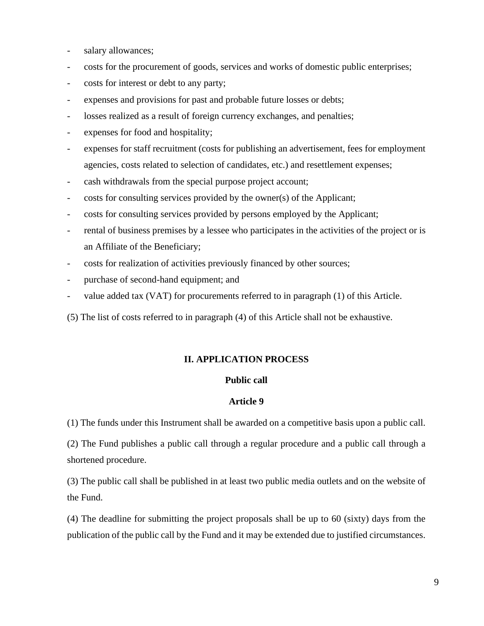- salary allowances;
- costs for the procurement of goods, services and works of domestic public enterprises;
- costs for interest or debt to any party;
- expenses and provisions for past and probable future losses or debts;
- losses realized as a result of foreign currency exchanges, and penalties;
- expenses for food and hospitality;
- expenses for staff recruitment (costs for publishing an advertisement, fees for employment agencies, costs related to selection of candidates, etc.) and resettlement expenses;
- cash withdrawals from the special purpose project account;
- costs for consulting services provided by the owner(s) of the Applicant;
- costs for consulting services provided by persons employed by the Applicant;
- rental of business premises by a lessee who participates in the activities of the project or is an Affiliate of the Beneficiary;
- costs for realization of activities previously financed by other sources;
- purchase of second-hand equipment; and
- value added tax (VAT) for procurements referred to in paragraph (1) of this Article.
- (5) The list of costs referred to in paragraph (4) of this Article shall not be exhaustive.

#### **II. APPLICATION PROCESS**

#### **Public call**

#### **Article 9**

(1) The funds under this Instrument shall be awarded on a competitive basis upon a public call.

(2) The Fund publishes a public call through a regular procedure and a public call through a shortened procedure.

(3) The public call shall be published in at least two public media outlets and on the website of the Fund.

(4) The deadline for submitting the project proposals shall be up to 60 (sixty) days from the publication of the public call by the Fund and it may be extended due to justified circumstances.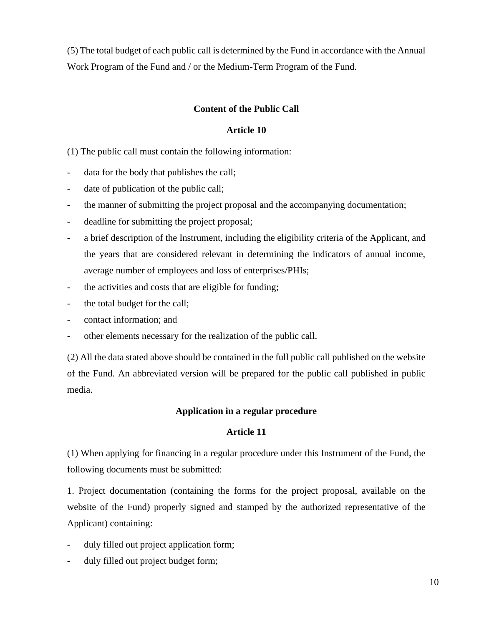(5) The total budget of each public call is determined by the Fund in accordance with the Annual Work Program of the Fund and / or the Medium-Term Program of the Fund.

# **Content of the Public Call**

# **Article 10**

(1) The public call must contain the following information:

- data for the body that publishes the call;
- date of publication of the public call;
- the manner of submitting the project proposal and the accompanying documentation;
- deadline for submitting the project proposal;
- a brief description of the Instrument, including the eligibility criteria of the Applicant, and the years that are considered relevant in determining the indicators of annual income, average number of employees and loss of enterprises/PHIs;
- the activities and costs that are eligible for funding;
- the total budget for the call;
- contact information; and
- other elements necessary for the realization of the public call.

(2) All the data stated above should be contained in the full public call published on the website of the Fund. An abbreviated version will be prepared for the public call published in public media.

# **Application in a regular procedure**

# **Article 11**

(1) When applying for financing in a regular procedure under this Instrument of the Fund, the following documents must be submitted:

1. Project documentation (containing the forms for the project proposal, available on the website of the Fund) properly signed and stamped by the authorized representative of the Applicant) containing:

- duly filled out project application form;
- duly filled out project budget form;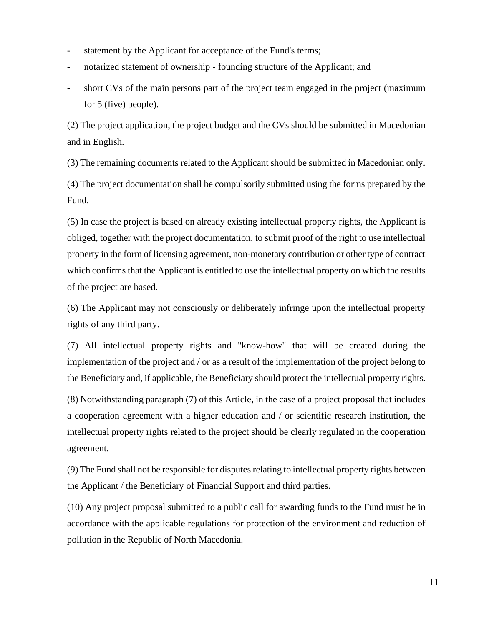- statement by the Applicant for acceptance of the Fund's terms;
- notarized statement of ownership founding structure of the Applicant; and
- short CVs of the main persons part of the project team engaged in the project (maximum for 5 (five) people).

(2) The project application, the project budget and the CVs should be submitted in Macedonian and in English.

(3) The remaining documents related to the Applicant should be submitted in Macedonian only.

(4) The project documentation shall be compulsorily submitted using the forms prepared by the Fund.

(5) In case the project is based on already existing intellectual property rights, the Applicant is obliged, together with the project documentation, to submit proof of the right to use intellectual property in the form of licensing agreement, non-monetary contribution or other type of contract which confirms that the Applicant is entitled to use the intellectual property on which the results of the project are based.

(6) The Applicant may not consciously or deliberately infringe upon the intellectual property rights of any third party.

(7) All intellectual property rights and "know-how" that will be created during the implementation of the project and / or as a result of the implementation of the project belong to the Beneficiary and, if applicable, the Beneficiary should protect the intellectual property rights.

(8) Notwithstanding paragraph (7) of this Article, in the case of a project proposal that includes a cooperation agreement with a higher education and / or scientific research institution, the intellectual property rights related to the project should be clearly regulated in the cooperation agreement.

(9) The Fund shall not be responsible for disputes relating to intellectual property rights between the Applicant / the Beneficiary of Financial Support and third parties.

(10) Any project proposal submitted to a public call for awarding funds to the Fund must be in accordance with the applicable regulations for protection of the environment and reduction of pollution in the Republic of North Macedonia.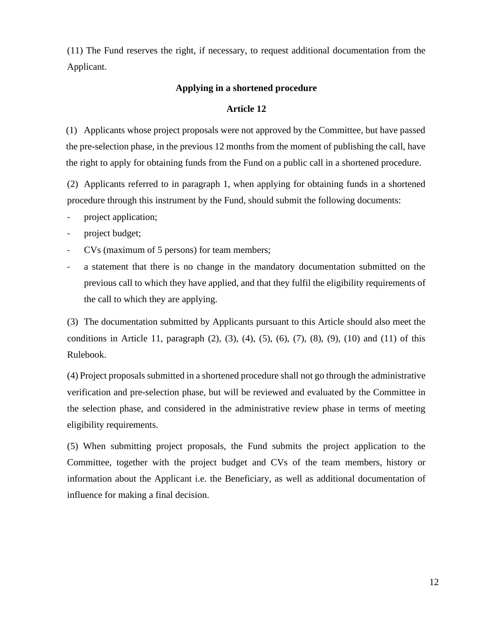(11) The Fund reserves the right, if necessary, to request additional documentation from the Applicant.

# **Applying in a shortened procedure**

# **Article 12**

(1) Applicants whose project proposals were not approved by the Committee, but have passed the pre-selection phase, in the previous 12 months from the moment of publishing the call, have the right to apply for obtaining funds from the Fund on a public call in a shortened procedure.

(2) Applicants referred to in paragraph 1, when applying for obtaining funds in a shortened procedure through this instrument by the Fund, should submit the following documents:

- project application;
- project budget;
- CVs (maximum of 5 persons) for team members;
- a statement that there is no change in the mandatory documentation submitted on the previous call to which they have applied, and that they fulfil the eligibility requirements of the call to which they are applying.

(3) The documentation submitted by Applicants pursuant to this Article should also meet the conditions in Article 11, paragraph  $(2)$ ,  $(3)$ ,  $(4)$ ,  $(5)$ ,  $(6)$ ,  $(7)$ ,  $(8)$ ,  $(9)$ ,  $(10)$  and  $(11)$  of this Rulebook.

(4) Project proposals submitted in a shortened procedure shall not go through the administrative verification and pre-selection phase, but will be reviewed and evaluated by the Committee in the selection phase, and considered in the administrative review phase in terms of meeting eligibility requirements.

(5) When submitting project proposals, the Fund submits the project application to the Committee, together with the project budget and CVs of the team members, history or information about the Applicant i.e. the Beneficiary, as well as additional documentation of influence for making a final decision.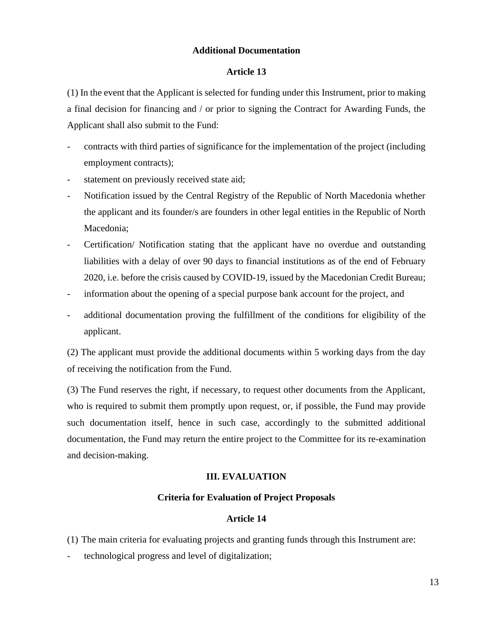# **Additional Documentation**

# **Article 13**

(1) In the event that the Applicant is selected for funding under this Instrument, prior to making a final decision for financing and / or prior to signing the Contract for Awarding Funds, the Applicant shall also submit to the Fund:

- contracts with third parties of significance for the implementation of the project (including employment contracts);
- statement on previously received state aid;
- Notification issued by the Central Registry of the Republic of North Macedonia whether the applicant and its founder/s are founders in other legal entities in the Republic of North Macedonia;
- Certification/ Notification stating that the applicant have no overdue and outstanding liabilities with a delay of over 90 days to financial institutions as of the end of February 2020, i.e. before the crisis caused by COVID-19, issued by the Macedonian Credit Bureau;
- information about the opening of a special purpose bank account for the project, and
- additional documentation proving the fulfillment of the conditions for eligibility of the applicant.

(2) The applicant must provide the additional documents within 5 working days from the day of receiving the notification from the Fund.

(3) The Fund reserves the right, if necessary, to request other documents from the Applicant, who is required to submit them promptly upon request, or, if possible, the Fund may provide such documentation itself, hence in such case, accordingly to the submitted additional documentation, the Fund may return the entire project to the Committee for its re-examination and decision-making.

#### **III. EVALUATION**

# **Criteria for Evaluation of Project Proposals**

#### **Article 14**

- (1) The main criteria for evaluating projects and granting funds through this Instrument are:
- technological progress and level of digitalization;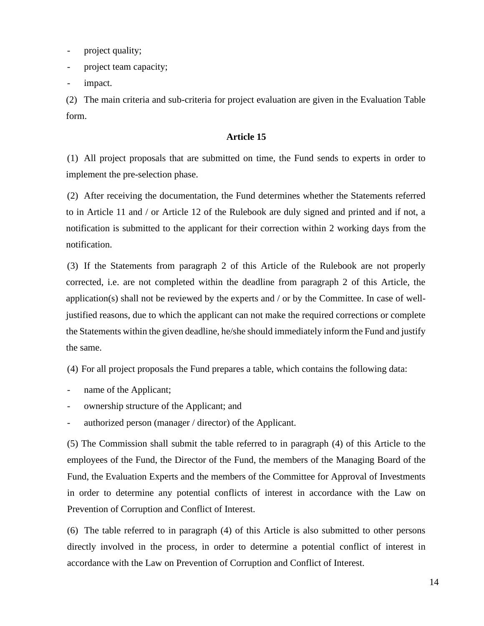- project quality;

- project team capacity;

impact.

(2) The main criteria and sub-criteria for project evaluation are given in the Evaluation Table form.

# **Article 15**

(1) All project proposals that are submitted on time, the Fund sends to experts in order to implement the pre-selection phase.

(2) After receiving the documentation, the Fund determines whether the Statements referred to in Article 11 and / or Article 12 of the Rulebook are duly signed and printed and if not, a notification is submitted to the applicant for their correction within 2 working days from the notification.

(3) If the Statements from paragraph 2 of this Article of the Rulebook are not properly corrected, i.e. are not completed within the deadline from paragraph 2 of this Article, the application(s) shall not be reviewed by the experts and / or by the Committee. In case of welljustified reasons, due to which the applicant can not make the required corrections or complete the Statements within the given deadline, he/she should immediately inform the Fund and justify the same.

(4) For all project proposals the Fund prepares a table, which contains the following data:

- name of the Applicant;
- ownership structure of the Applicant; and
- authorized person (manager / director) of the Applicant.

(5) The Commission shall submit the table referred to in paragraph (4) of this Article to the employees of the Fund, the Director of the Fund, the members of the Managing Board of the Fund, the Evaluation Experts and the members of the Committee for Approval of Investments in order to determine any potential conflicts of interest in accordance with the Law on Prevention of Corruption and Conflict of Interest.

(6) The table referred to in paragraph (4) of this Article is also submitted to other persons directly involved in the process, in order to determine a potential conflict of interest in accordance with the Law on Prevention of Corruption and Conflict of Interest.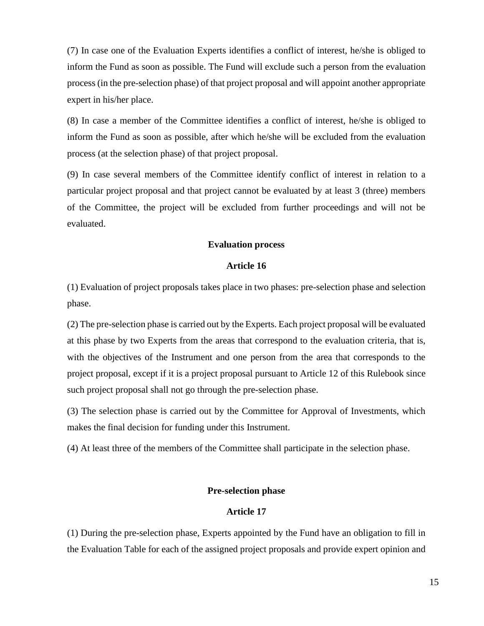(7) In case one of the Evaluation Experts identifies a conflict of interest, he/she is obliged to inform the Fund as soon as possible. The Fund will exclude such a person from the evaluation process (in the pre-selection phase) of that project proposal and will appoint another appropriate expert in his/her place.

(8) In case a member of the Committee identifies a conflict of interest, he/she is obliged to inform the Fund as soon as possible, after which he/she will be excluded from the evaluation process (at the selection phase) of that project proposal.

(9) In case several members of the Committee identify conflict of interest in relation to a particular project proposal and that project cannot be evaluated by at least 3 (three) members of the Committee, the project will be excluded from further proceedings and will not be evaluated.

#### **Evaluation process**

# **Article 16**

(1) Evaluation of project proposals takes place in two phases: pre-selection phase and selection phase.

(2) The pre-selection phase is carried out by the Experts. Each project proposal will be evaluated at this phase by two Experts from the areas that correspond to the evaluation criteria, that is, with the objectives of the Instrument and one person from the area that corresponds to the project proposal, except if it is a project proposal pursuant to Article 12 of this Rulebook since such project proposal shall not go through the pre-selection phase.

(3) The selection phase is carried out by the Committee for Approval of Investments, which makes the final decision for funding under this Instrument.

(4) At least three of the members of the Committee shall participate in the selection phase.

#### **Pre-selection phase**

#### **Article 17**

(1) During the pre-selection phase, Experts appointed by the Fund have an obligation to fill in the Evaluation Table for each of the assigned project proposals and provide expert opinion and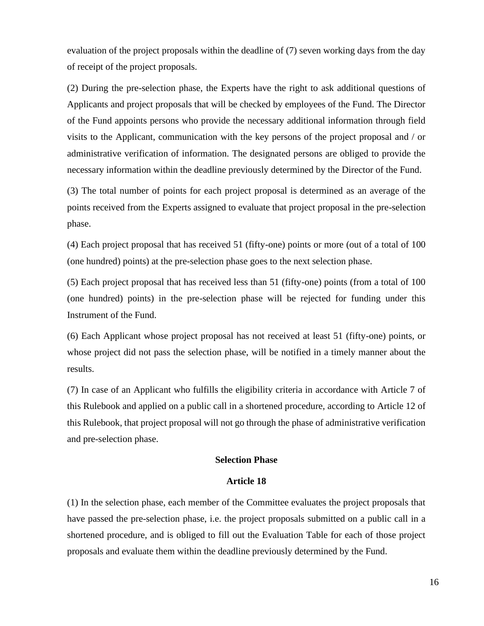evaluation of the project proposals within the deadline of (7) seven working days from the day of receipt of the project proposals.

(2) During the pre-selection phase, the Experts have the right to ask additional questions of Applicants and project proposals that will be checked by employees of the Fund. The Director of the Fund appoints persons who provide the necessary additional information through field visits to the Applicant, communication with the key persons of the project proposal and / or administrative verification of information. The designated persons are obliged to provide the necessary information within the deadline previously determined by the Director of the Fund.

(3) The total number of points for each project proposal is determined as an average of the points received from the Experts assigned to evaluate that project proposal in the pre-selection phase.

(4) Each project proposal that has received 51 (fifty-one) points or more (out of a total of 100 (one hundred) points) at the pre-selection phase goes to the next selection phase.

(5) Each project proposal that has received less than 51 (fifty-one) points (from a total of 100 (one hundred) points) in the pre-selection phase will be rejected for funding under this Instrument of the Fund.

(6) Each Applicant whose project proposal has not received at least 51 (fifty-one) points, or whose project did not pass the selection phase, will be notified in a timely manner about the results.

(7) In case of an Applicant who fulfills the eligibility criteria in accordance with Article 7 of this Rulebook and applied on a public call in a shortened procedure, according to Article 12 of this Rulebook, that project proposal will not go through the phase of administrative verification and pre-selection phase.

#### **Selection Phase**

#### **Article 18**

(1) In the selection phase, each member of the Committee evaluates the project proposals that have passed the pre-selection phase, i.e. the project proposals submitted on a public call in a shortened procedure, and is obliged to fill out the Evaluation Table for each of those project proposals and evaluate them within the deadline previously determined by the Fund.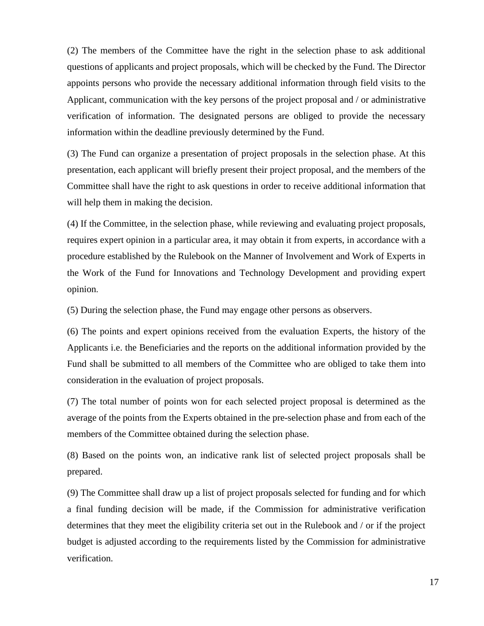(2) The members of the Committee have the right in the selection phase to ask additional questions of applicants and project proposals, which will be checked by the Fund. The Director appoints persons who provide the necessary additional information through field visits to the Applicant, communication with the key persons of the project proposal and / or administrative verification of information. The designated persons are obliged to provide the necessary information within the deadline previously determined by the Fund.

(3) The Fund can organize a presentation of project proposals in the selection phase. At this presentation, each applicant will briefly present their project proposal, and the members of the Committee shall have the right to ask questions in order to receive additional information that will help them in making the decision.

(4) If the Committee, in the selection phase, while reviewing and evaluating project proposals, requires expert opinion in a particular area, it may obtain it from experts, in accordance with a procedure established by the Rulebook on the Manner of Involvement and Work of Experts in the Work of the Fund for Innovations and Technology Development and providing expert opinion.

(5) During the selection phase, the Fund may engage other persons as observers.

(6) The points and expert opinions received from the evaluation Experts, the history of the Applicants i.e. the Beneficiaries and the reports on the additional information provided by the Fund shall be submitted to all members of the Committee who are obliged to take them into consideration in the evaluation of project proposals.

(7) The total number of points won for each selected project proposal is determined as the average of the points from the Experts obtained in the pre-selection phase and from each of the members of the Committee obtained during the selection phase.

(8) Based on the points won, an indicative rank list of selected project proposals shall be prepared.

(9) The Committee shall draw up a list of project proposals selected for funding and for which a final funding decision will be made, if the Commission for administrative verification determines that they meet the eligibility criteria set out in the Rulebook and / or if the project budget is adjusted according to the requirements listed by the Commission for administrative verification.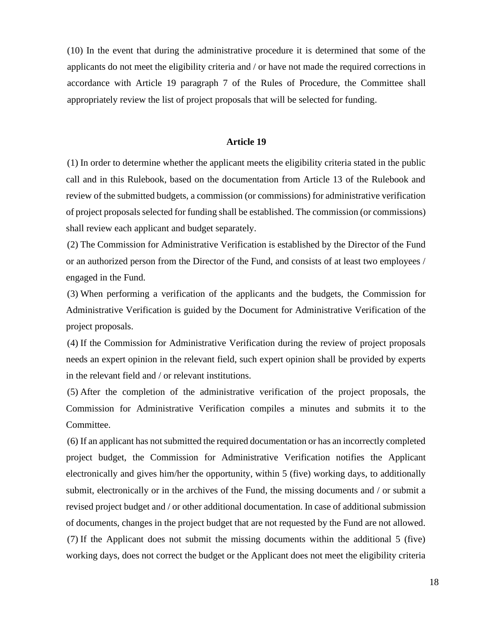(10) In the event that during the administrative procedure it is determined that some of the applicants do not meet the eligibility criteria and / or have not made the required corrections in accordance with Article 19 paragraph 7 of the Rules of Procedure, the Committee shall appropriately review the list of project proposals that will be selected for funding.

#### **Article 19**

(1) In order to determine whether the applicant meets the eligibility criteria stated in the public call and in this Rulebook, based on the documentation from Article 13 of the Rulebook and review of the submitted budgets, a commission (or commissions) for administrative verification of project proposals selected for funding shall be established. The commission (or commissions) shall review each applicant and budget separately.

(2) The Commission for Administrative Verification is established by the Director of the Fund or an authorized person from the Director of the Fund, and consists of at least two employees / engaged in the Fund.

(3) When performing a verification of the applicants and the budgets, the Commission for Administrative Verification is guided by the Document for Administrative Verification of the project proposals.

(4) If the Commission for Administrative Verification during the review of project proposals needs an expert opinion in the relevant field, such expert opinion shall be provided by experts in the relevant field and / or relevant institutions.

(5) After the completion of the administrative verification of the project proposals, the Commission for Administrative Verification compiles a minutes and submits it to the Committee.

(6) If an applicant has not submitted the required documentation or has an incorrectly completed project budget, the Commission for Administrative Verification notifies the Applicant electronically and gives him/her the opportunity, within 5 (five) working days, to additionally submit, electronically or in the archives of the Fund, the missing documents and / or submit a revised project budget and / or other additional documentation. In case of additional submission of documents, changes in the project budget that are not requested by the Fund are not allowed. (7) If the Applicant does not submit the missing documents within the additional 5 (five) working days, does not correct the budget or the Applicant does not meet the eligibility criteria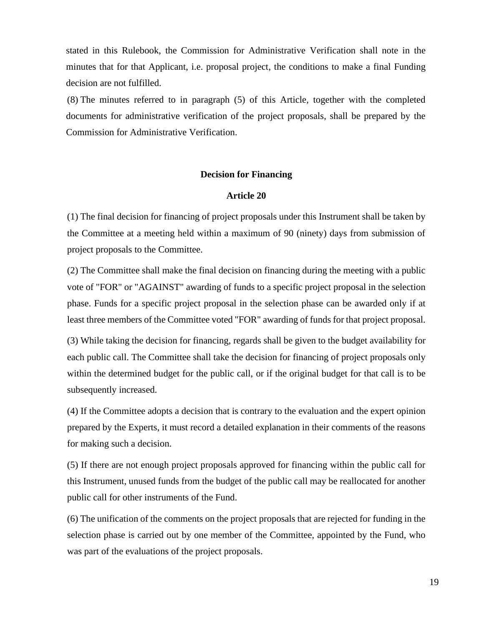stated in this Rulebook, the Commission for Administrative Verification shall note in the minutes that for that Applicant, i.e. proposal project, the conditions to make a final Funding decision are not fulfilled.

(8) The minutes referred to in paragraph (5) of this Article, together with the completed documents for administrative verification of the project proposals, shall be prepared by the Commission for Administrative Verification.

#### **Decision for Financing**

# **Article 20**

(1) The final decision for financing of project proposals under this Instrument shall be taken by the Committee at a meeting held within a maximum of 90 (ninety) days from submission of project proposals to the Committee.

(2) The Committee shall make the final decision on financing during the meeting with a public vote of "FOR" or "AGAINST" awarding of funds to a specific project proposal in the selection phase. Funds for a specific project proposal in the selection phase can be awarded only if at least three members of the Committee voted "FOR" awarding of funds for that project proposal.

(3) While taking the decision for financing, regards shall be given to the budget availability for each public call. The Committee shall take the decision for financing of project proposals only within the determined budget for the public call, or if the original budget for that call is to be subsequently increased.

(4) If the Committee adopts a decision that is contrary to the evaluation and the expert opinion prepared by the Experts, it must record a detailed explanation in their comments of the reasons for making such a decision.

(5) If there are not enough project proposals approved for financing within the public call for this Instrument, unused funds from the budget of the public call may be reallocated for another public call for other instruments of the Fund.

(6) The unification of the comments on the project proposals that are rejected for funding in the selection phase is carried out by one member of the Committee, appointed by the Fund, who was part of the evaluations of the project proposals.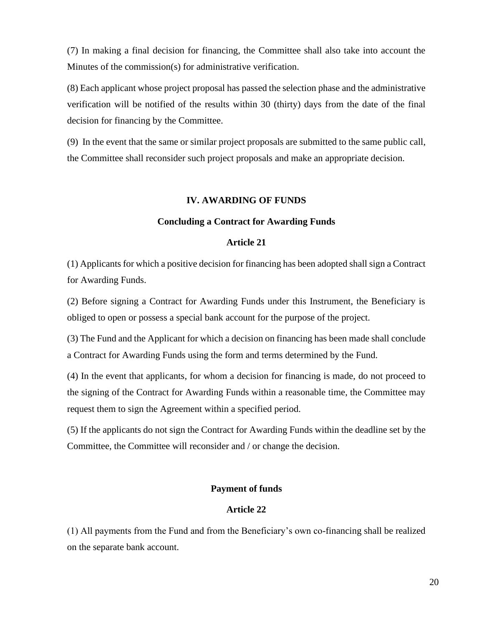(7) In making a final decision for financing, the Committee shall also take into account the Minutes of the commission(s) for administrative verification.

(8) Each applicant whose project proposal has passed the selection phase and the administrative verification will be notified of the results within 30 (thirty) days from the date of the final decision for financing by the Committee.

(9) In the event that the same or similar project proposals are submitted to the same public call, the Committee shall reconsider such project proposals and make an appropriate decision.

#### **IV. AWARDING OF FUNDS**

#### **Concluding a Contract for Awarding Funds**

#### **Article 21**

(1) Applicants for which a positive decision for financing has been adopted shall sign a Contract for Awarding Funds.

(2) Before signing a Contract for Awarding Funds under this Instrument, the Beneficiary is obliged to open or possess a special bank account for the purpose of the project.

(3) The Fund and the Applicant for which a decision on financing has been made shall conclude a Contract for Awarding Funds using the form and terms determined by the Fund.

(4) In the event that applicants, for whom a decision for financing is made, do not proceed to the signing of the Contract for Awarding Funds within a reasonable time, the Committee may request them to sign the Agreement within a specified period.

(5) If the applicants do not sign the Contract for Awarding Funds within the deadline set by the Committee, the Committee will reconsider and / or change the decision.

#### **Payment of funds**

# **Article 22**

(1) All payments from the Fund and from the Beneficiary's own co-financing shall be realized on the separate bank account.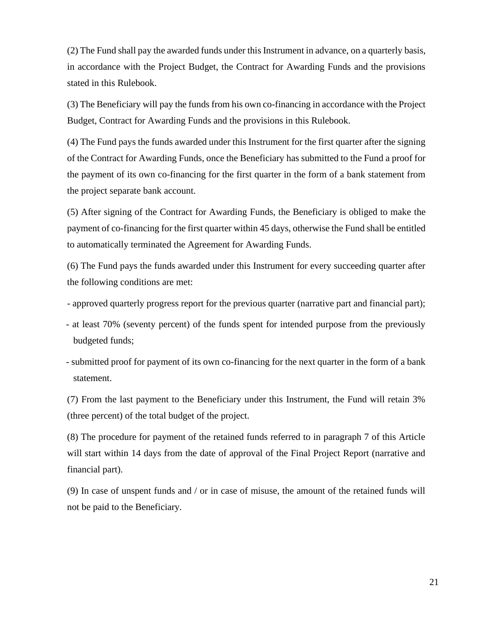(2) The Fund shall pay the awarded funds under this Instrument in advance, on a quarterly basis, in accordance with the Project Budget, the Contract for Awarding Funds and the provisions stated in this Rulebook.

(3) The Beneficiary will pay the funds from his own co-financing in accordance with the Project Budget, Contract for Awarding Funds and the provisions in this Rulebook.

(4) The Fund pays the funds awarded under this Instrument for the first quarter after the signing of the Contract for Awarding Funds, once the Beneficiary has submitted to the Fund a proof for the payment of its own co-financing for the first quarter in the form of a bank statement from the project separate bank account.

(5) After signing of the Contract for Awarding Funds, the Beneficiary is obliged to make the payment of co-financing for the first quarter within 45 days, otherwise the Fund shall be entitled to automatically terminated the Agreement for Awarding Funds.

(6) The Fund pays the funds awarded under this Instrument for every succeeding quarter after the following conditions are met:

- approved quarterly progress report for the previous quarter (narrative part and financial part);

- at least 70% (seventy percent) of the funds spent for intended purpose from the previously budgeted funds;
- submitted proof for payment of its own co-financing for the next quarter in the form of a bank statement.

(7) From the last payment to the Beneficiary under this Instrument, the Fund will retain 3% (three percent) of the total budget of the project.

(8) The procedure for payment of the retained funds referred to in paragraph 7 of this Article will start within 14 days from the date of approval of the Final Project Report (narrative and financial part).

(9) In case of unspent funds and / or in case of misuse, the amount of the retained funds will not be paid to the Beneficiary.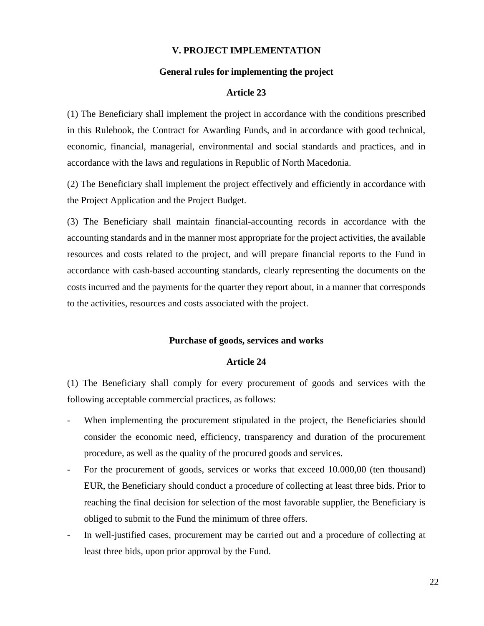#### **V. PROJECT IMPLEMENTATION**

#### **General rules for implementing the project**

#### **Article 23**

(1) The Beneficiary shall implement the project in accordance with the conditions prescribed in this Rulebook, the Contract for Awarding Funds, and in accordance with good technical, economic, financial, managerial, environmental and social standards and practices, and in accordance with the laws and regulations in Republic of North Macedonia.

(2) The Beneficiary shall implement the project effectively and efficiently in accordance with the Project Application and the Project Budget.

(3) The Beneficiary shall maintain financial-accounting records in accordance with the accounting standards and in the manner most appropriate for the project activities, the available resources and costs related to the project, and will prepare financial reports to the Fund in accordance with cash-based accounting standards, clearly representing the documents on the costs incurred and the payments for the quarter they report about, in a manner that corresponds to the activities, resources and costs associated with the project.

#### **Purchase of goods, services and works**

#### **Article 24**

(1) The Beneficiary shall comply for every procurement of goods and services with the following acceptable commercial practices, as follows:

- When implementing the procurement stipulated in the project, the Beneficiaries should consider the economic need, efficiency, transparency and duration of the procurement procedure, as well as the quality of the procured goods and services.
- For the procurement of goods, services or works that exceed 10.000,00 (ten thousand) EUR, the Beneficiary should conduct a procedure of collecting at least three bids. Prior to reaching the final decision for selection of the most favorable supplier, the Beneficiary is obliged to submit to the Fund the minimum of three offers.
- In well-justified cases, procurement may be carried out and a procedure of collecting at least three bids, upon prior approval by the Fund.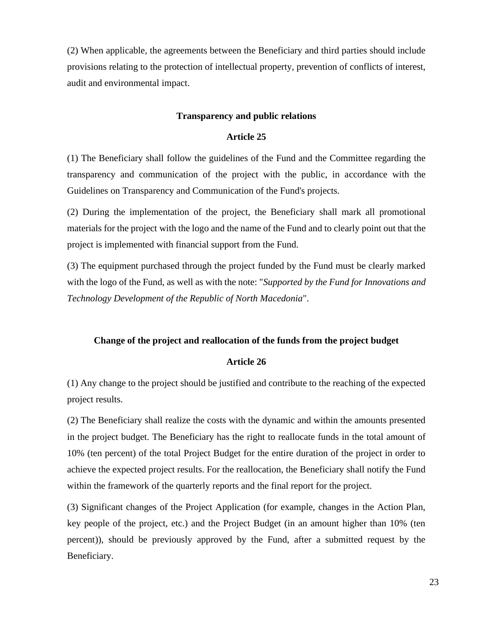(2) When applicable, the agreements between the Beneficiary and third parties should include provisions relating to the protection of intellectual property, prevention of conflicts of interest, audit and environmental impact.

#### **Transparency and public relations**

#### **Article 25**

(1) The Beneficiary shall follow the guidelines of the Fund and the Committee regarding the transparency and communication of the project with the public, in accordance with the Guidelines on Transparency and Communication of the Fund's projects.

(2) During the implementation of the project, the Beneficiary shall mark all promotional materials for the project with the logo and the name of the Fund and to clearly point out that the project is implemented with financial support from the Fund.

(3) The equipment purchased through the project funded by the Fund must be clearly marked with the logo of the Fund, as well as with the note: "*Supported by the Fund for Innovations and Technology Development of the Republic of North Macedonia*".

#### **Change of the project and reallocation of the funds from the project budget**

# **Article 26**

(1) Any change to the project should be justified and contribute to the reaching of the expected project results.

(2) The Beneficiary shall realize the costs with the dynamic and within the amounts presented in the project budget. The Beneficiary has the right to reallocate funds in the total amount of 10% (ten percent) of the total Project Budget for the entire duration of the project in order to achieve the expected project results. For the reallocation, the Beneficiary shall notify the Fund within the framework of the quarterly reports and the final report for the project.

(3) Significant changes of the Project Application (for example, changes in the Action Plan, key people of the project, etc.) and the Project Budget (in an amount higher than 10% (ten percent)), should be previously approved by the Fund, after a submitted request by the Beneficiary.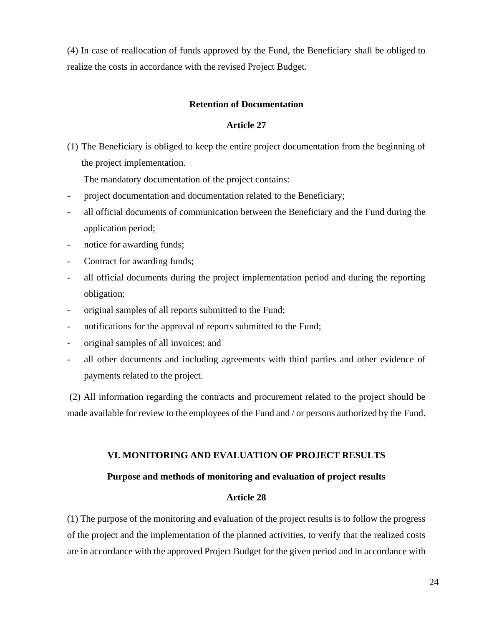(4) In case of reallocation of funds approved by the Fund, the Beneficiary shall be obliged to realize the costs in accordance with the revised Project Budget.

# **Retention of Documentation**

#### **Article 27**

(1) The Beneficiary is obliged to keep the entire project documentation from the beginning of the project implementation.

The mandatory documentation of the project contains:

- project documentation and documentation related to the Beneficiary;
- all official documents of communication between the Beneficiary and the Fund during the application period;
- notice for awarding funds;
- Contract for awarding funds;
- all official documents during the project implementation period and during the reporting obligation;
- original samples of all reports submitted to the Fund;
- notifications for the approval of reports submitted to the Fund;
- original samples of all invoices; and
- all other documents and including agreements with third parties and other evidence of payments related to the project.

(2) All information regarding the contracts and procurement related to the project should be made available for review to the employees of the Fund and / or persons authorized by the Fund.

#### **VI. MONITORING AND EVALUATION OF PROJECT RESULTS**

#### **Purpose and methods of monitoring and evaluation of project results**

# **Article 28**

(1) The purpose of the monitoring and evaluation of the project results is to follow the progress of the project and the implementation of the planned activities, to verify that the realized costs are in accordance with the approved Project Budget for the given period and in accordance with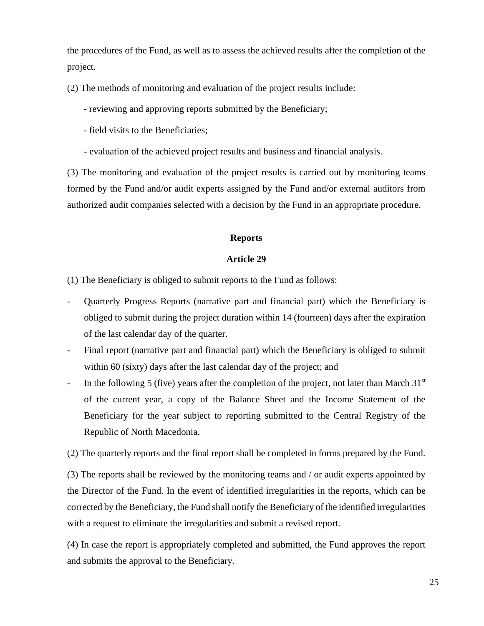the procedures of the Fund, as well as to assess the achieved results after the completion of the project.

(2) The methods of monitoring and evaluation of the project results include:

- reviewing and approving reports submitted by the Beneficiary;

- field visits to the Beneficiaries;

- evaluation of the achieved project results and business and financial analysis.

(3) The monitoring and evaluation of the project results is carried out by monitoring teams formed by the Fund and/or audit experts assigned by the Fund and/or external auditors from authorized audit companies selected with a decision by the Fund in an appropriate procedure.

#### **Reports**

#### **Article 29**

(1) The Beneficiary is obliged to submit reports to the Fund as follows:

- Quarterly Progress Reports (narrative part and financial part) which the Beneficiary is obliged to submit during the project duration within 14 (fourteen) days after the expiration of the last calendar day of the quarter.
- Final report (narrative part and financial part) which the Beneficiary is obliged to submit within 60 (sixty) days after the last calendar day of the project; and
- In the following 5 (five) years after the completion of the project, not later than March  $31<sup>st</sup>$ of the current year, a copy of the Balance Sheet and the Income Statement of the Beneficiary for the year subject to reporting submitted to the Central Registry of the Republic of North Macedonia.

(2) The quarterly reports and the final report shall be completed in forms prepared by the Fund.

(3) The reports shall be reviewed by the monitoring teams and / or audit experts appointed by the Director of the Fund. In the event of identified irregularities in the reports, which can be corrected by the Beneficiary, the Fund shall notify the Beneficiary of the identified irregularities with a request to eliminate the irregularities and submit a revised report.

(4) In case the report is appropriately completed and submitted, the Fund approves the report and submits the approval to the Beneficiary.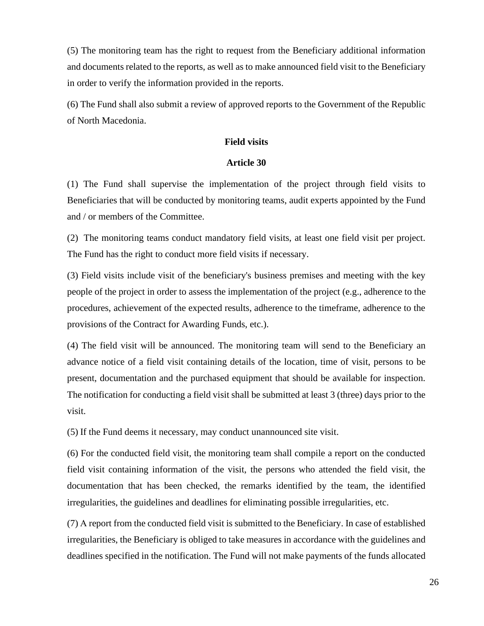(5) The monitoring team has the right to request from the Beneficiary additional information and documents related to the reports, as well as to make announced field visit to the Beneficiary in order to verify the information provided in the reports.

(6) The Fund shall also submit a review of approved reports to the Government of the Republic of North Macedonia.

#### **Field visits**

#### **Article 30**

(1) The Fund shall supervise the implementation of the project through field visits to Beneficiaries that will be conducted by monitoring teams, audit experts appointed by the Fund and / or members of the Committee.

(2) The monitoring teams conduct mandatory field visits, at least one field visit per project. The Fund has the right to conduct more field visits if necessary.

(3) Field visits include visit of the beneficiary's business premises and meeting with the key people of the project in order to assess the implementation of the project (e.g., adherence to the procedures, achievement of the expected results, adherence to the timeframe, adherence to the provisions of the Contract for Awarding Funds, etc.).

(4) The field visit will be announced. The monitoring team will send to the Beneficiary an advance notice of a field visit containing details of the location, time of visit, persons to be present, documentation and the purchased equipment that should be available for inspection. The notification for conducting a field visit shall be submitted at least 3 (three) days prior to the visit.

(5) If the Fund deems it necessary, may conduct unannounced site visit.

(6) For the conducted field visit, the monitoring team shall compile a report on the conducted field visit containing information of the visit, the persons who attended the field visit, the documentation that has been checked, the remarks identified by the team, the identified irregularities, the guidelines and deadlines for eliminating possible irregularities, etc.

(7) А report from the conducted field visit is submitted to the Beneficiary. In case of established irregularities, the Beneficiary is obliged to take measures in accordance with the guidelines and deadlines specified in the notification. The Fund will not make payments of the funds allocated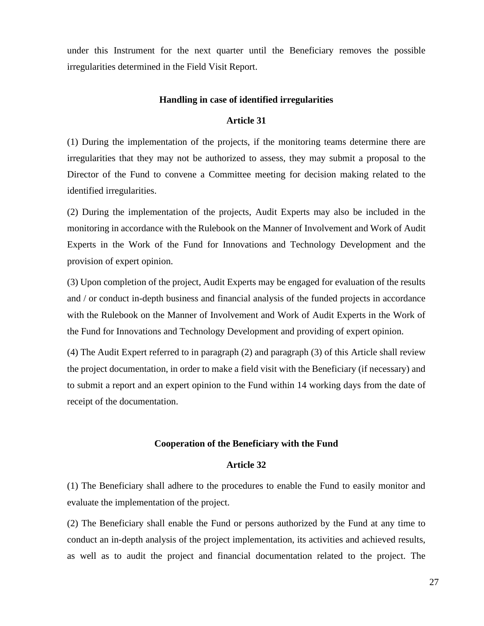under this Instrument for the next quarter until the Beneficiary removes the possible irregularities determined in the Field Visit Report.

#### **Handling in case of identified irregularities**

#### **Article 31**

(1) During the implementation of the projects, if the monitoring teams determine there are irregularities that they may not be authorized to assess, they may submit a proposal to the Director of the Fund to convene a Committee meeting for decision making related to the identified irregularities.

(2) During the implementation of the projects, Audit Experts may also be included in the monitoring in accordance with the Rulebook on the Manner of Involvement and Work of Audit Experts in the Work of the Fund for Innovations and Technology Development and the provision of expert opinion.

(3) Upon completion of the project, Audit Experts may be engaged for evaluation of the results and / or conduct in-depth business and financial analysis of the funded projects in accordance with the Rulebook on the Manner of Involvement and Work of Audit Experts in the Work of the Fund for Innovations and Technology Development and providing of expert opinion.

(4) The Audit Expert referred to in paragraph (2) and paragraph (3) of this Article shall review the project documentation, in order to make a field visit with the Beneficiary (if necessary) and to submit a report and an expert opinion to the Fund within 14 working days from the date of receipt of the documentation.

#### **Cooperation of the Beneficiary with the Fund**

#### **Article 32**

(1) The Beneficiary shall adhere to the procedures to enable the Fund to easily monitor and evaluate the implementation of the project.

(2) The Beneficiary shall enable the Fund or persons authorized by the Fund at any time to conduct an in-depth analysis of the project implementation, its activities and achieved results, as well as to audit the project and financial documentation related to the project. The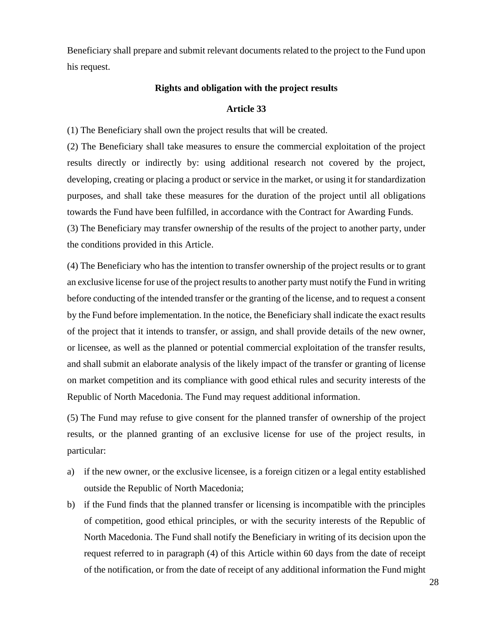Beneficiary shall prepare and submit relevant documents related to the project to the Fund upon his request.

#### **Rights and obligation with the project results**

### **Article 33**

(1) The Beneficiary shall own the project results that will be created.

(2) The Beneficiary shall take measures to ensure the commercial exploitation of the project results directly or indirectly by: using additional research not covered by the project, developing, creating or placing a product or service in the market, or using it for standardization purposes, and shall take these measures for the duration of the project until all obligations towards the Fund have been fulfilled, in accordance with the Contract for Awarding Funds. (3) The Beneficiary may transfer ownership of the results of the project to another party, under the conditions provided in this Article.

(4) The Beneficiary who has the intention to transfer ownership of the project results or to grant an exclusive license for use of the project results to another party must notify the Fund in writing before conducting of the intended transfer or the granting of the license, and to request a consent by the Fund before implementation. In the notice, the Beneficiary shall indicate the exact results of the project that it intends to transfer, or assign, and shall provide details of the new owner, or licensee, as well as the planned or potential commercial exploitation of the transfer results, and shall submit an elaborate analysis of the likely impact of the transfer or granting of license on market competition and its compliance with good ethical rules and security interests of the Republic of North Macedonia. The Fund may request additional information.

(5) The Fund may refuse to give consent for the planned transfer of ownership of the project results, or the planned granting of an exclusive license for use of the project results, in particular:

- a) if the new owner, or the exclusive licensee, is a foreign citizen or a legal entity established outside the Republic of North Macedonia;
- b) if the Fund finds that the planned transfer or licensing is incompatible with the principles of competition, good ethical principles, or with the security interests of the Republic of North Macedonia. The Fund shall notify the Beneficiary in writing of its decision upon the request referred to in paragraph (4) of this Article within 60 days from the date of receipt of the notification, or from the date of receipt of any additional information the Fund might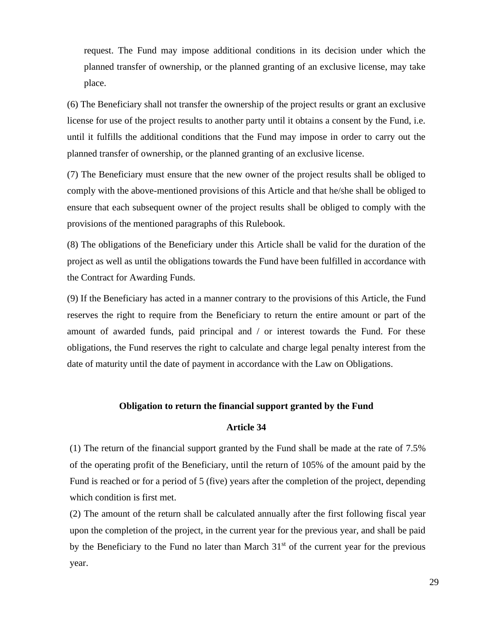request. The Fund may impose additional conditions in its decision under which the planned transfer of ownership, or the planned granting of an exclusive license, may take place.

(6) The Beneficiary shall not transfer the ownership of the project results or grant an exclusive license for use of the project results to another party until it obtains a consent by the Fund, i.e. until it fulfills the additional conditions that the Fund may impose in order to carry out the planned transfer of ownership, or the planned granting of an exclusive license.

(7) The Beneficiary must ensure that the new owner of the project results shall be obliged to comply with the above-mentioned provisions of this Article and that he/she shall be obliged to ensure that each subsequent owner of the project results shall be obliged to comply with the provisions of the mentioned paragraphs of this Rulebook.

(8) The obligations of the Beneficiary under this Article shall be valid for the duration of the project as well as until the obligations towards the Fund have been fulfilled in accordance with the Contract for Awarding Funds.

(9) If the Beneficiary has acted in a manner contrary to the provisions of this Article, the Fund reserves the right to require from the Beneficiary to return the entire amount or part of the amount of awarded funds, paid principal and / or interest towards the Fund. For these obligations, the Fund reserves the right to calculate and charge legal penalty interest from the date of maturity until the date of payment in accordance with the Law on Obligations.

#### **Obligation to return the financial support granted by the Fund**

# **Article 34**

(1) The return of the financial support granted by the Fund shall be made at the rate of 7.5% of the operating profit of the Beneficiary, until the return of 105% of the amount paid by the Fund is reached or for a period of 5 (five) years after the completion of the project, depending which condition is first met.

(2) The amount of the return shall be calculated annually after the first following fiscal year upon the completion of the project, in the current year for the previous year, and shall be paid by the Beneficiary to the Fund no later than March  $31<sup>st</sup>$  of the current year for the previous year.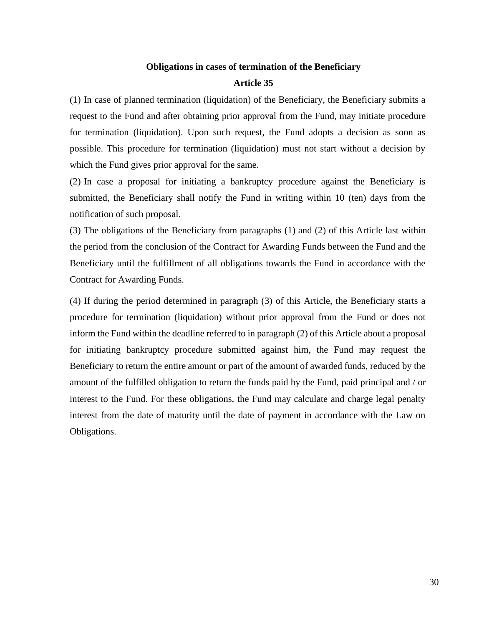# **Obligations in cases of termination of the Beneficiary Article 35**

(1) In case of planned termination (liquidation) of the Beneficiary, the Beneficiary submits a request to the Fund and after obtaining prior approval from the Fund, may initiate procedure for termination (liquidation). Upon such request, the Fund adopts a decision as soon as possible. This procedure for termination (liquidation) must not start without a decision by which the Fund gives prior approval for the same.

(2) In case a proposal for initiating a bankruptcy procedure against the Beneficiary is submitted, the Beneficiary shall notify the Fund in writing within 10 (ten) days from the notification of such proposal.

(3) The obligations of the Beneficiary from paragraphs (1) and (2) of this Article last within the period from the conclusion of the Contract for Awarding Funds between the Fund and the Beneficiary until the fulfillment of all obligations towards the Fund in accordance with the Contract for Awarding Funds.

(4) If during the period determined in paragraph (3) of this Article, the Beneficiary starts a procedure for termination (liquidation) without prior approval from the Fund or does not inform the Fund within the deadline referred to in paragraph (2) of this Article about a proposal for initiating bankruptcy procedure submitted against him, the Fund may request the Beneficiary to return the entire amount or part of the amount of awarded funds, reduced by the amount of the fulfilled obligation to return the funds paid by the Fund, paid principal and / or interest to the Fund. For these obligations, the Fund may calculate and charge legal penalty interest from the date of maturity until the date of payment in accordance with the Law on Obligations.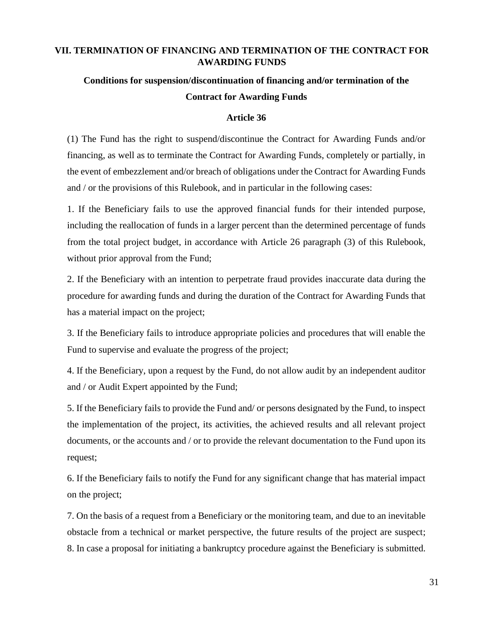# **VII. TERMINATION OF FINANCING AND TERMINATION OF THE CONTRACT FOR AWARDING FUNDS**

# **Conditions for suspension/discontinuation of financing and/or termination of the Contract for Awarding Funds**

# **Article 36**

(1) The Fund has the right to suspend/discontinue the Contract for Awarding Funds and/or financing, as well as to terminate the Contract for Awarding Funds, completely or partially, in the event of embezzlement and/or breach of obligations under the Contract for Awarding Funds and / or the provisions of this Rulebook, and in particular in the following cases:

1. If the Beneficiary fails to use the approved financial funds for their intended purpose, including the reallocation of funds in a larger percent than the determined percentage of funds from the total project budget, in accordance with Article 26 paragraph (3) of this Rulebook, without prior approval from the Fund;

2. If the Beneficiary with an intention to perpetrate fraud provides inaccurate data during the procedure for awarding funds and during the duration of the Contract for Awarding Funds that has a material impact on the project;

3. If the Beneficiary fails to introduce appropriate policies and procedures that will enable the Fund to supervise and evaluate the progress of the project;

4. If the Beneficiary, upon a request by the Fund, do not allow audit by an independent auditor and / or Audit Expert appointed by the Fund;

5. If the Beneficiary fails to provide the Fund and/ or persons designated by the Fund, to inspect the implementation of the project, its activities, the achieved results and all relevant project documents, or the accounts and / or to provide the relevant documentation to the Fund upon its request;

6. If the Beneficiary fails to notify the Fund for any significant change that has material impact on the project;

7. On the basis of a request from a Beneficiary or the monitoring team, and due to an inevitable obstacle from a technical or market perspective, the future results of the project are suspect; 8. In case a proposal for initiating a bankruptcy procedure against the Beneficiary is submitted.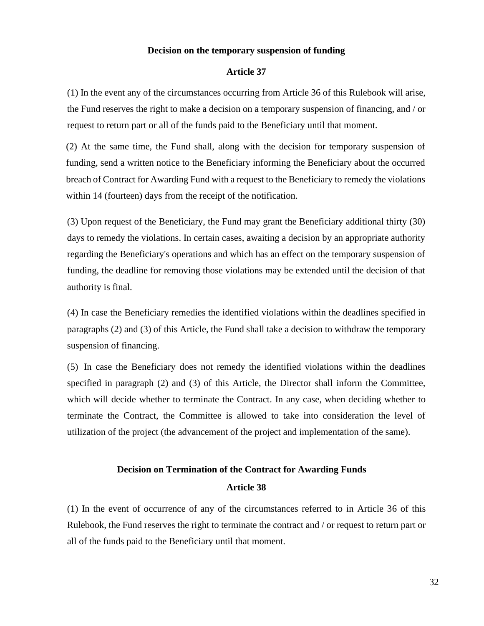#### **Decision on the temporary suspension of funding**

#### **Article 37**

(1) In the event any of the circumstances occurring from Article 36 of this Rulebook will arise, the Fund reserves the right to make a decision on a temporary suspension of financing, and / or request to return part or all of the funds paid to the Beneficiary until that moment.

(2) At the same time, the Fund shall, along with the decision for temporary suspension of funding, send a written notice to the Beneficiary informing the Beneficiary about the occurred breach of Contract for Awarding Fund with a request to the Beneficiary to remedy the violations within 14 (fourteen) days from the receipt of the notification.

(3) Upon request of the Beneficiary, the Fund may grant the Beneficiary additional thirty (30) days to remedy the violations. In certain cases, awaiting a decision by an appropriate authority regarding the Beneficiary's operations and which has an effect on the temporary suspension of funding, the deadline for removing those violations may be extended until the decision of that authority is final.

(4) In case the Beneficiary remedies the identified violations within the deadlines specified in paragraphs (2) and (3) of this Article, the Fund shall take a decision to withdraw the temporary suspension of financing.

(5) In case the Beneficiary does not remedy the identified violations within the deadlines specified in paragraph (2) and (3) of this Article, the Director shall inform the Committee, which will decide whether to terminate the Contract. In any case, when deciding whether to terminate the Contract, the Committee is allowed to take into consideration the level of utilization of the project (the advancement of the project and implementation of the same).

# **Decision on Termination of the Contract for Awarding Funds Article 38**

(1) In the event of occurrence of any of the circumstances referred to in Article 36 of this Rulebook, the Fund reserves the right to terminate the contract and / or request to return part or all of the funds paid to the Beneficiary until that moment.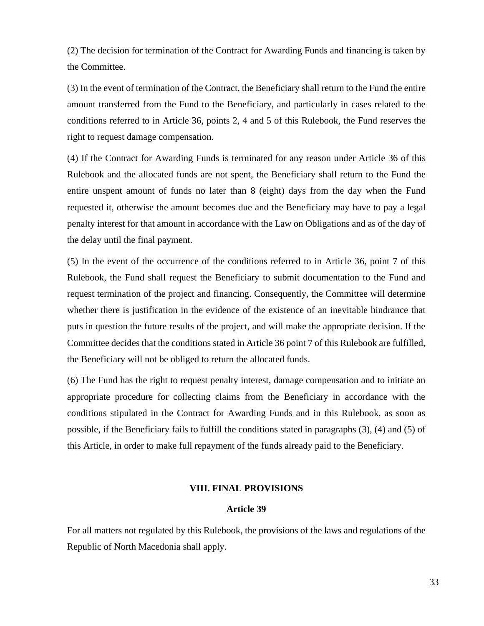(2) The decision for termination of the Contract for Awarding Funds and financing is taken by the Committee.

(3) In the event of termination of the Contract, the Beneficiary shall return to the Fund the entire amount transferred from the Fund to the Beneficiary, and particularly in cases related to the conditions referred to in Article 36, points 2, 4 and 5 of this Rulebook, the Fund reserves the right to request damage compensation.

(4) If the Contract for Awarding Funds is terminated for any reason under Article 36 of this Rulebook and the allocated funds are not spent, the Beneficiary shall return to the Fund the entire unspent amount of funds no later than 8 (eight) days from the day when the Fund requested it, otherwise the amount becomes due and the Beneficiary may have to pay a legal penalty interest for that amount in accordance with the Law on Obligations and as of the day of the delay until the final payment.

(5) In the event of the occurrence of the conditions referred to in Article 36, point 7 of this Rulebook, the Fund shall request the Beneficiary to submit documentation to the Fund and request termination of the project and financing. Consequently, the Committee will determine whether there is justification in the evidence of the existence of an inevitable hindrance that puts in question the future results of the project, and will make the appropriate decision. If the Committee decides that the conditions stated in Article 36 point 7 of this Rulebook are fulfilled, the Beneficiary will not be obliged to return the allocated funds.

(6) The Fund has the right to request penalty interest, damage compensation and to initiate an appropriate procedure for collecting claims from the Beneficiary in accordance with the conditions stipulated in the Contract for Awarding Funds and in this Rulebook, as soon as possible, if the Beneficiary fails to fulfill the conditions stated in paragraphs (3), (4) and (5) of this Article, in order to make full repayment of the funds already paid to the Beneficiary.

# **VIII. FINAL PROVISIONS**

# **Article 39**

For all matters not regulated by this Rulebook, the provisions of the laws and regulations of the Republic of North Macedonia shall apply.